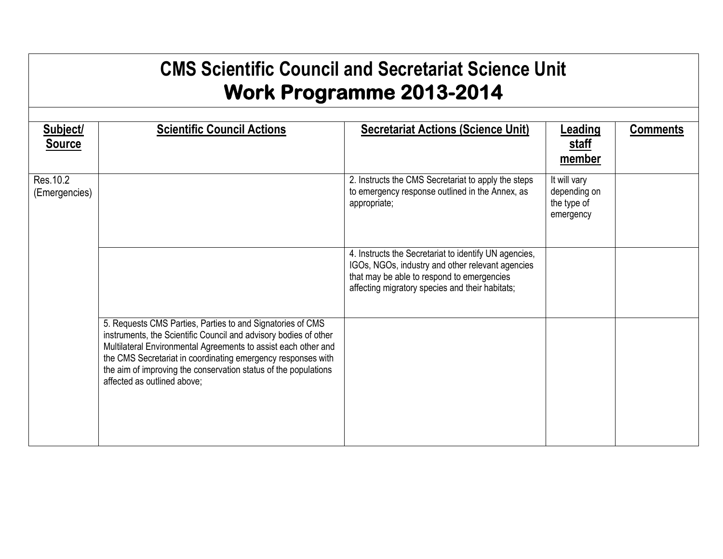## **CMS Scientific Council and Secretariat Science Unit Work Programme 2013-2014**

| Subject/<br><b>Source</b>  | <b>Scientific Council Actions</b>                                                                                                                                                                                                                                                                                                                                  | <b>Secretariat Actions (Science Unit)</b>                                                                                                                                                                  | <b>Leading</b><br><u>staff</u><br>member                 | <b>Comments</b> |
|----------------------------|--------------------------------------------------------------------------------------------------------------------------------------------------------------------------------------------------------------------------------------------------------------------------------------------------------------------------------------------------------------------|------------------------------------------------------------------------------------------------------------------------------------------------------------------------------------------------------------|----------------------------------------------------------|-----------------|
| Res. 10.2<br>(Emergencies) |                                                                                                                                                                                                                                                                                                                                                                    | 2. Instructs the CMS Secretariat to apply the steps<br>to emergency response outlined in the Annex, as<br>appropriate;                                                                                     | It will vary<br>depending on<br>the type of<br>emergency |                 |
|                            |                                                                                                                                                                                                                                                                                                                                                                    | 4. Instructs the Secretariat to identify UN agencies,<br>IGOs, NGOs, industry and other relevant agencies<br>that may be able to respond to emergencies<br>affecting migratory species and their habitats; |                                                          |                 |
|                            | 5. Requests CMS Parties, Parties to and Signatories of CMS<br>instruments, the Scientific Council and advisory bodies of other<br>Multilateral Environmental Agreements to assist each other and<br>the CMS Secretariat in coordinating emergency responses with<br>the aim of improving the conservation status of the populations<br>affected as outlined above; |                                                                                                                                                                                                            |                                                          |                 |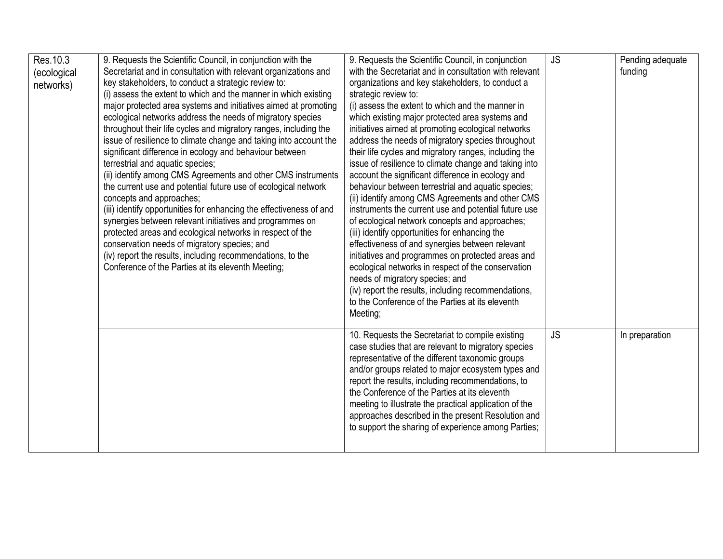| Res. 10.3   | 9. Requests the Scientific Council, in conjunction with the         | 9. Requests the Scientific Council, in conjunction                                                      | <b>JS</b> | Pending adequate |
|-------------|---------------------------------------------------------------------|---------------------------------------------------------------------------------------------------------|-----------|------------------|
| (ecological | Secretariat and in consultation with relevant organizations and     | with the Secretariat and in consultation with relevant                                                  |           | funding          |
| networks)   | key stakeholders, to conduct a strategic review to:                 | organizations and key stakeholders, to conduct a                                                        |           |                  |
|             | (i) assess the extent to which and the manner in which existing     | strategic review to:                                                                                    |           |                  |
|             | major protected area systems and initiatives aimed at promoting     | (i) assess the extent to which and the manner in                                                        |           |                  |
|             | ecological networks address the needs of migratory species          | which existing major protected area systems and                                                         |           |                  |
|             | throughout their life cycles and migratory ranges, including the    | initiatives aimed at promoting ecological networks                                                      |           |                  |
|             | issue of resilience to climate change and taking into account the   | address the needs of migratory species throughout                                                       |           |                  |
|             | significant difference in ecology and behaviour between             | their life cycles and migratory ranges, including the                                                   |           |                  |
|             | terrestrial and aquatic species;                                    | issue of resilience to climate change and taking into                                                   |           |                  |
|             | (ii) identify among CMS Agreements and other CMS instruments        | account the significant difference in ecology and                                                       |           |                  |
|             | the current use and potential future use of ecological network      | behaviour between terrestrial and aquatic species;                                                      |           |                  |
|             | concepts and approaches;                                            | (ii) identify among CMS Agreements and other CMS                                                        |           |                  |
|             | (iii) identify opportunities for enhancing the effectiveness of and | instruments the current use and potential future use                                                    |           |                  |
|             | synergies between relevant initiatives and programmes on            | of ecological network concepts and approaches;                                                          |           |                  |
|             | protected areas and ecological networks in respect of the           | (iii) identify opportunities for enhancing the                                                          |           |                  |
|             | conservation needs of migratory species; and                        | effectiveness of and synergies between relevant                                                         |           |                  |
|             | (iv) report the results, including recommendations, to the          | initiatives and programmes on protected areas and                                                       |           |                  |
|             | Conference of the Parties at its eleventh Meeting;                  | ecological networks in respect of the conservation                                                      |           |                  |
|             |                                                                     | needs of migratory species; and                                                                         |           |                  |
|             |                                                                     | (iv) report the results, including recommendations,<br>to the Conference of the Parties at its eleventh |           |                  |
|             |                                                                     |                                                                                                         |           |                  |
|             |                                                                     | Meeting;                                                                                                |           |                  |
|             |                                                                     | 10. Requests the Secretariat to compile existing                                                        | <b>JS</b> | In preparation   |
|             |                                                                     | case studies that are relevant to migratory species                                                     |           |                  |
|             |                                                                     | representative of the different taxonomic groups                                                        |           |                  |
|             |                                                                     | and/or groups related to major ecosystem types and                                                      |           |                  |
|             |                                                                     | report the results, including recommendations, to                                                       |           |                  |
|             |                                                                     | the Conference of the Parties at its eleventh                                                           |           |                  |
|             |                                                                     | meeting to illustrate the practical application of the                                                  |           |                  |
|             |                                                                     | approaches described in the present Resolution and                                                      |           |                  |
|             |                                                                     | to support the sharing of experience among Parties;                                                     |           |                  |
|             |                                                                     |                                                                                                         |           |                  |
|             |                                                                     |                                                                                                         |           |                  |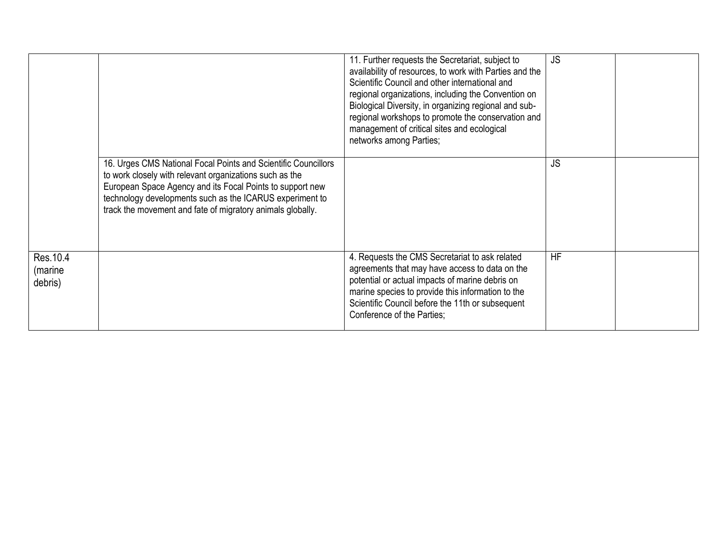|                                 |                                                                                                                                                                                                                                                                                                                  | 11. Further requests the Secretariat, subject to<br>availability of resources, to work with Parties and the<br>Scientific Council and other international and<br>regional organizations, including the Convention on<br>Biological Diversity, in organizing regional and sub-<br>regional workshops to promote the conservation and<br>management of critical sites and ecological<br>networks among Parties; | <b>JS</b> |  |
|---------------------------------|------------------------------------------------------------------------------------------------------------------------------------------------------------------------------------------------------------------------------------------------------------------------------------------------------------------|---------------------------------------------------------------------------------------------------------------------------------------------------------------------------------------------------------------------------------------------------------------------------------------------------------------------------------------------------------------------------------------------------------------|-----------|--|
|                                 | 16. Urges CMS National Focal Points and Scientific Councillors<br>to work closely with relevant organizations such as the<br>European Space Agency and its Focal Points to support new<br>technology developments such as the ICARUS experiment to<br>track the movement and fate of migratory animals globally. |                                                                                                                                                                                                                                                                                                                                                                                                               | <b>JS</b> |  |
| Res. 10.4<br>(marine<br>debris) |                                                                                                                                                                                                                                                                                                                  | 4. Requests the CMS Secretariat to ask related<br>agreements that may have access to data on the<br>potential or actual impacts of marine debris on<br>marine species to provide this information to the<br>Scientific Council before the 11th or subsequent<br>Conference of the Parties;                                                                                                                    | <b>HF</b> |  |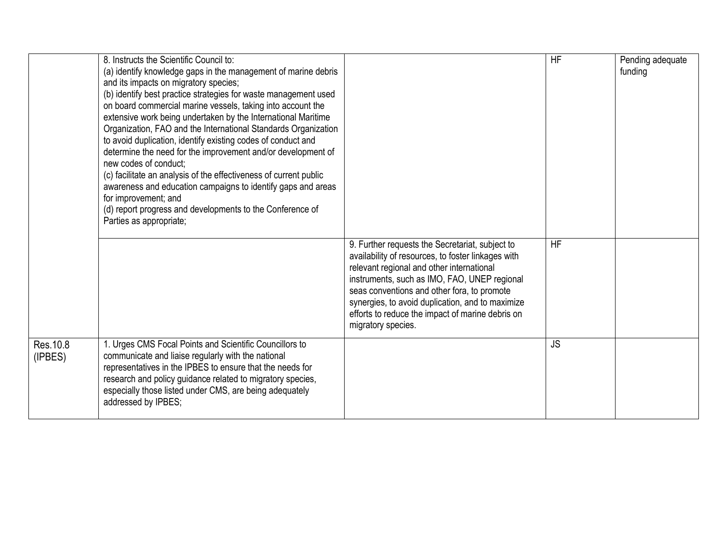|                      | 8. Instructs the Scientific Council to:<br>(a) identify knowledge gaps in the management of marine debris<br>and its impacts on migratory species;<br>(b) identify best practice strategies for waste management used<br>on board commercial marine vessels, taking into account the<br>extensive work being undertaken by the International Maritime<br>Organization, FAO and the International Standards Organization<br>to avoid duplication, identify existing codes of conduct and<br>determine the need for the improvement and/or development of<br>new codes of conduct:<br>(c) facilitate an analysis of the effectiveness of current public<br>awareness and education campaigns to identify gaps and areas<br>for improvement; and<br>(d) report progress and developments to the Conference of<br>Parties as appropriate; |                                                                                                                                                                                                                                                                                                                                                                                 | <b>HF</b> | Pending adequate<br>funding |
|----------------------|---------------------------------------------------------------------------------------------------------------------------------------------------------------------------------------------------------------------------------------------------------------------------------------------------------------------------------------------------------------------------------------------------------------------------------------------------------------------------------------------------------------------------------------------------------------------------------------------------------------------------------------------------------------------------------------------------------------------------------------------------------------------------------------------------------------------------------------|---------------------------------------------------------------------------------------------------------------------------------------------------------------------------------------------------------------------------------------------------------------------------------------------------------------------------------------------------------------------------------|-----------|-----------------------------|
|                      |                                                                                                                                                                                                                                                                                                                                                                                                                                                                                                                                                                                                                                                                                                                                                                                                                                       | 9. Further requests the Secretariat, subject to<br>availability of resources, to foster linkages with<br>relevant regional and other international<br>instruments, such as IMO, FAO, UNEP regional<br>seas conventions and other fora, to promote<br>synergies, to avoid duplication, and to maximize<br>efforts to reduce the impact of marine debris on<br>migratory species. | <b>HF</b> |                             |
| Res. 10.8<br>(IPBES) | 1. Urges CMS Focal Points and Scientific Councillors to<br>communicate and liaise regularly with the national<br>representatives in the IPBES to ensure that the needs for<br>research and policy guidance related to migratory species,<br>especially those listed under CMS, are being adequately<br>addressed by IPBES;                                                                                                                                                                                                                                                                                                                                                                                                                                                                                                            |                                                                                                                                                                                                                                                                                                                                                                                 | <b>JS</b> |                             |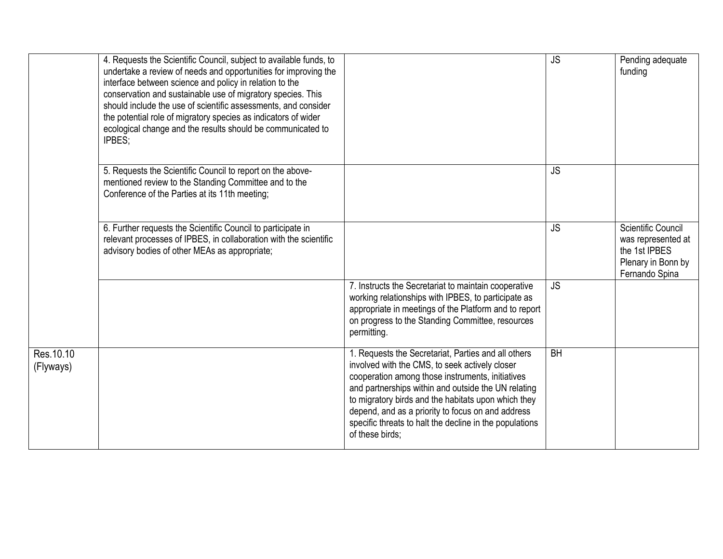|                         | 4. Requests the Scientific Council, subject to available funds, to<br>undertake a review of needs and opportunities for improving the<br>interface between science and policy in relation to the<br>conservation and sustainable use of migratory species. This<br>should include the use of scientific assessments, and consider<br>the potential role of migratory species as indicators of wider<br>ecological change and the results should be communicated to<br>IPBES; |                                                                                                                                                                                                                                                                                                                                                                                                            | <b>JS</b> | Pending adequate<br>funding                                                                       |
|-------------------------|------------------------------------------------------------------------------------------------------------------------------------------------------------------------------------------------------------------------------------------------------------------------------------------------------------------------------------------------------------------------------------------------------------------------------------------------------------------------------|------------------------------------------------------------------------------------------------------------------------------------------------------------------------------------------------------------------------------------------------------------------------------------------------------------------------------------------------------------------------------------------------------------|-----------|---------------------------------------------------------------------------------------------------|
|                         | 5. Requests the Scientific Council to report on the above-<br>mentioned review to the Standing Committee and to the<br>Conference of the Parties at its 11th meeting;                                                                                                                                                                                                                                                                                                        |                                                                                                                                                                                                                                                                                                                                                                                                            | <b>JS</b> |                                                                                                   |
|                         | 6. Further requests the Scientific Council to participate in<br>relevant processes of IPBES, in collaboration with the scientific<br>advisory bodies of other MEAs as appropriate;                                                                                                                                                                                                                                                                                           |                                                                                                                                                                                                                                                                                                                                                                                                            | <b>JS</b> | Scientific Council<br>was represented at<br>the 1st IPBES<br>Plenary in Bonn by<br>Fernando Spina |
|                         |                                                                                                                                                                                                                                                                                                                                                                                                                                                                              | 7. Instructs the Secretariat to maintain cooperative<br>working relationships with IPBES, to participate as<br>appropriate in meetings of the Platform and to report<br>on progress to the Standing Committee, resources<br>permitting.                                                                                                                                                                    | <b>JS</b> |                                                                                                   |
| Res. 10.10<br>(Flyways) |                                                                                                                                                                                                                                                                                                                                                                                                                                                                              | 1. Requests the Secretariat, Parties and all others<br>involved with the CMS, to seek actively closer<br>cooperation among those instruments, initiatives<br>and partnerships within and outside the UN relating<br>to migratory birds and the habitats upon which they<br>depend, and as a priority to focus on and address<br>specific threats to halt the decline in the populations<br>of these birds; | <b>BH</b> |                                                                                                   |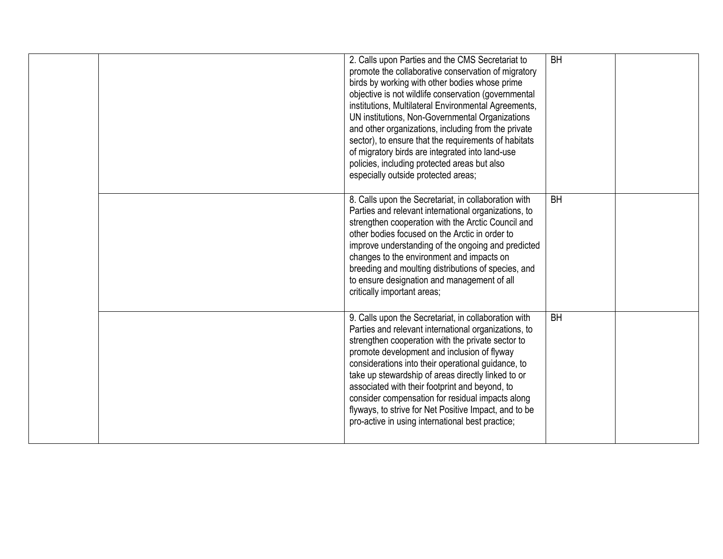|  | 2. Calls upon Parties and the CMS Secretariat to<br>promote the collaborative conservation of migratory<br>birds by working with other bodies whose prime<br>objective is not wildlife conservation (governmental<br>institutions, Multilateral Environmental Agreements,<br>UN institutions, Non-Governmental Organizations<br>and other organizations, including from the private<br>sector), to ensure that the requirements of habitats<br>of migratory birds are integrated into land-use<br>policies, including protected areas but also<br>especially outside protected areas; | <b>BH</b> |  |
|--|---------------------------------------------------------------------------------------------------------------------------------------------------------------------------------------------------------------------------------------------------------------------------------------------------------------------------------------------------------------------------------------------------------------------------------------------------------------------------------------------------------------------------------------------------------------------------------------|-----------|--|
|  | 8. Calls upon the Secretariat, in collaboration with<br>Parties and relevant international organizations, to<br>strengthen cooperation with the Arctic Council and<br>other bodies focused on the Arctic in order to<br>improve understanding of the ongoing and predicted<br>changes to the environment and impacts on<br>breeding and moulting distributions of species, and<br>to ensure designation and management of all<br>critically important areas;                                                                                                                          | <b>BH</b> |  |
|  | 9. Calls upon the Secretariat, in collaboration with<br>Parties and relevant international organizations, to<br>strengthen cooperation with the private sector to<br>promote development and inclusion of flyway<br>considerations into their operational guidance, to<br>take up stewardship of areas directly linked to or<br>associated with their footprint and beyond, to<br>consider compensation for residual impacts along<br>flyways, to strive for Net Positive Impact, and to be<br>pro-active in using international best practice;                                       | <b>BH</b> |  |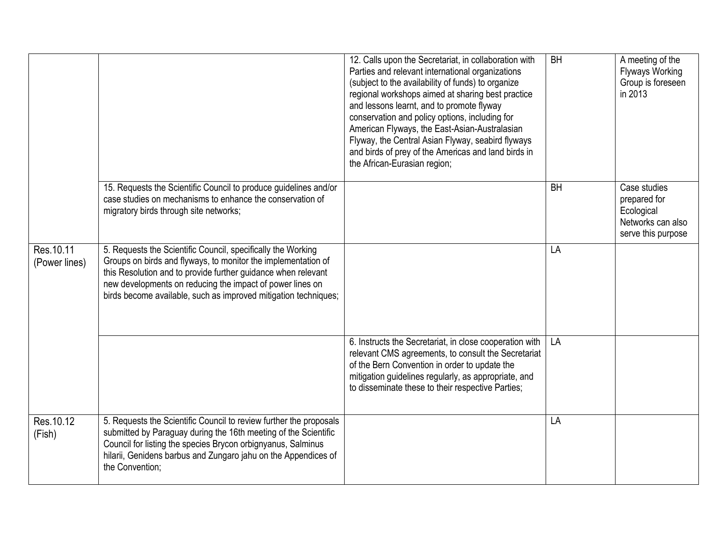|                            |                                                                                                                                                                                                                                                                                                                                | 12. Calls upon the Secretariat, in collaboration with<br>Parties and relevant international organizations<br>(subject to the availability of funds) to organize<br>regional workshops aimed at sharing best practice<br>and lessons learnt, and to promote flyway<br>conservation and policy options, including for<br>American Flyways, the East-Asian-Australasian<br>Flyway, the Central Asian Flyway, seabird flyways<br>and birds of prey of the Americas and land birds in<br>the African-Eurasian region; | <b>BH</b> | A meeting of the<br><b>Flyways Working</b><br>Group is foreseen<br>in 2013            |
|----------------------------|--------------------------------------------------------------------------------------------------------------------------------------------------------------------------------------------------------------------------------------------------------------------------------------------------------------------------------|------------------------------------------------------------------------------------------------------------------------------------------------------------------------------------------------------------------------------------------------------------------------------------------------------------------------------------------------------------------------------------------------------------------------------------------------------------------------------------------------------------------|-----------|---------------------------------------------------------------------------------------|
|                            | 15. Requests the Scientific Council to produce guidelines and/or<br>case studies on mechanisms to enhance the conservation of<br>migratory birds through site networks;                                                                                                                                                        |                                                                                                                                                                                                                                                                                                                                                                                                                                                                                                                  | <b>BH</b> | Case studies<br>prepared for<br>Ecological<br>Networks can also<br>serve this purpose |
| Res.10.11<br>(Power lines) | 5. Requests the Scientific Council, specifically the Working<br>Groups on birds and flyways, to monitor the implementation of<br>this Resolution and to provide further guidance when relevant<br>new developments on reducing the impact of power lines on<br>birds become available, such as improved mitigation techniques; |                                                                                                                                                                                                                                                                                                                                                                                                                                                                                                                  | LA        |                                                                                       |
|                            |                                                                                                                                                                                                                                                                                                                                | 6. Instructs the Secretariat, in close cooperation with<br>relevant CMS agreements, to consult the Secretariat<br>of the Bern Convention in order to update the<br>mitigation guidelines regularly, as appropriate, and<br>to disseminate these to their respective Parties;                                                                                                                                                                                                                                     | LA        |                                                                                       |
| Res. 10.12<br>(Fish)       | 5. Requests the Scientific Council to review further the proposals<br>submitted by Paraguay during the 16th meeting of the Scientific<br>Council for listing the species Brycon orbignyanus, Salminus<br>hilarii, Genidens barbus and Zungaro jahu on the Appendices of<br>the Convention;                                     |                                                                                                                                                                                                                                                                                                                                                                                                                                                                                                                  | LA        |                                                                                       |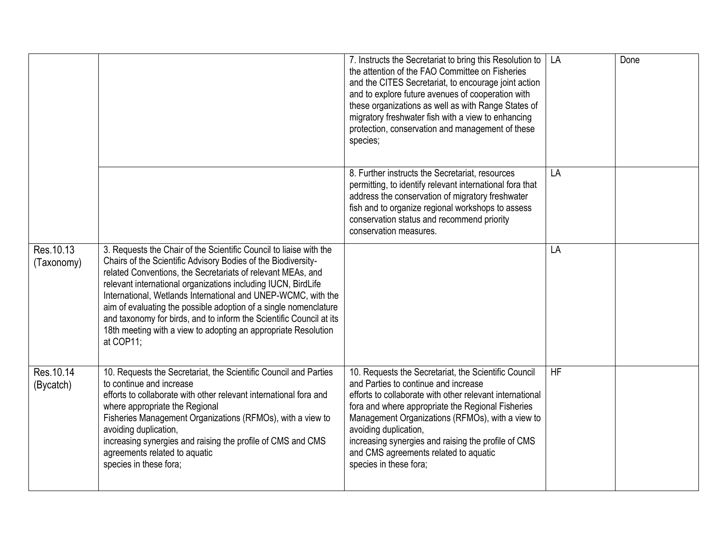|                          |                                                                                                                                                                                                                                                                                                                                                                                                                                                                                                                                                                | 7. Instructs the Secretariat to bring this Resolution to<br>the attention of the FAO Committee on Fisheries<br>and the CITES Secretariat, to encourage joint action<br>and to explore future avenues of cooperation with<br>these organizations as well as with Range States of<br>migratory freshwater fish with a view to enhancing<br>protection, conservation and management of these<br>species;                | LA        | Done |
|--------------------------|----------------------------------------------------------------------------------------------------------------------------------------------------------------------------------------------------------------------------------------------------------------------------------------------------------------------------------------------------------------------------------------------------------------------------------------------------------------------------------------------------------------------------------------------------------------|----------------------------------------------------------------------------------------------------------------------------------------------------------------------------------------------------------------------------------------------------------------------------------------------------------------------------------------------------------------------------------------------------------------------|-----------|------|
|                          |                                                                                                                                                                                                                                                                                                                                                                                                                                                                                                                                                                | 8. Further instructs the Secretariat, resources<br>permitting, to identify relevant international fora that<br>address the conservation of migratory freshwater<br>fish and to organize regional workshops to assess<br>conservation status and recommend priority<br>conservation measures.                                                                                                                         | LA        |      |
| Res. 10.13<br>(Taxonomy) | 3. Requests the Chair of the Scientific Council to liaise with the<br>Chairs of the Scientific Advisory Bodies of the Biodiversity-<br>related Conventions, the Secretariats of relevant MEAs, and<br>relevant international organizations including IUCN, BirdLife<br>International, Wetlands International and UNEP-WCMC, with the<br>aim of evaluating the possible adoption of a single nomenclature<br>and taxonomy for birds, and to inform the Scientific Council at its<br>18th meeting with a view to adopting an appropriate Resolution<br>at COP11; |                                                                                                                                                                                                                                                                                                                                                                                                                      | LA        |      |
| Res. 10.14<br>(Bycatch)  | 10. Requests the Secretariat, the Scientific Council and Parties<br>to continue and increase<br>efforts to collaborate with other relevant international fora and<br>where appropriate the Regional<br>Fisheries Management Organizations (RFMOs), with a view to<br>avoiding duplication,<br>increasing synergies and raising the profile of CMS and CMS<br>agreements related to aquatic<br>species in these fora;                                                                                                                                           | 10. Requests the Secretariat, the Scientific Council<br>and Parties to continue and increase<br>efforts to collaborate with other relevant international<br>fora and where appropriate the Regional Fisheries<br>Management Organizations (RFMOs), with a view to<br>avoiding duplication,<br>increasing synergies and raising the profile of CMS<br>and CMS agreements related to aquatic<br>species in these fora; | <b>HF</b> |      |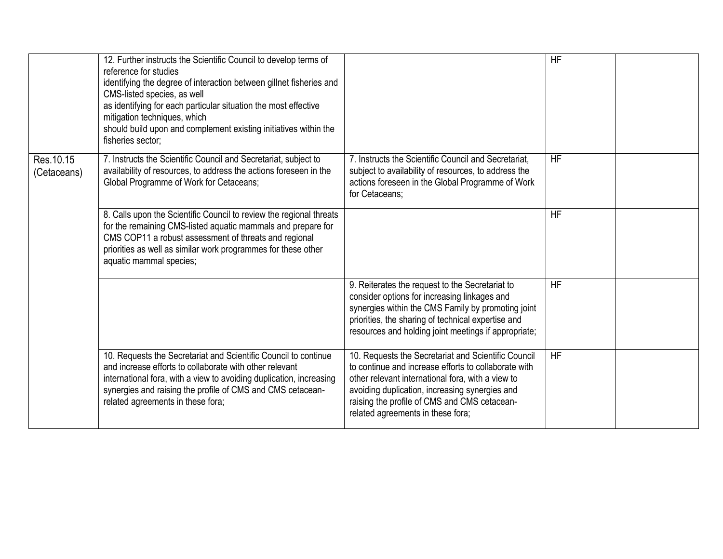|                           | 12. Further instructs the Scientific Council to develop terms of<br>reference for studies<br>identifying the degree of interaction between gillnet fisheries and<br>CMS-listed species, as well<br>as identifying for each particular situation the most effective<br>mitigation techniques, which<br>should build upon and complement existing initiatives within the<br>fisheries sector; |                                                                                                                                                                                                                                                                                                         | <b>HF</b> |  |
|---------------------------|---------------------------------------------------------------------------------------------------------------------------------------------------------------------------------------------------------------------------------------------------------------------------------------------------------------------------------------------------------------------------------------------|---------------------------------------------------------------------------------------------------------------------------------------------------------------------------------------------------------------------------------------------------------------------------------------------------------|-----------|--|
| Res. 10.15<br>(Cetaceans) | 7. Instructs the Scientific Council and Secretariat, subject to<br>availability of resources, to address the actions foreseen in the<br>Global Programme of Work for Cetaceans;                                                                                                                                                                                                             | 7. Instructs the Scientific Council and Secretariat,<br>subject to availability of resources, to address the<br>actions foreseen in the Global Programme of Work<br>for Cetaceans:                                                                                                                      | HF        |  |
|                           | 8. Calls upon the Scientific Council to review the regional threats<br>for the remaining CMS-listed aquatic mammals and prepare for<br>CMS COP11 a robust assessment of threats and regional<br>priorities as well as similar work programmes for these other<br>aquatic mammal species;                                                                                                    |                                                                                                                                                                                                                                                                                                         | <b>HF</b> |  |
|                           |                                                                                                                                                                                                                                                                                                                                                                                             | 9. Reiterates the request to the Secretariat to<br>consider options for increasing linkages and<br>synergies within the CMS Family by promoting joint<br>priorities, the sharing of technical expertise and<br>resources and holding joint meetings if appropriate;                                     | <b>HF</b> |  |
|                           | 10. Requests the Secretariat and Scientific Council to continue<br>and increase efforts to collaborate with other relevant<br>international fora, with a view to avoiding duplication, increasing<br>synergies and raising the profile of CMS and CMS cetacean-<br>related agreements in these fora;                                                                                        | 10. Requests the Secretariat and Scientific Council<br>to continue and increase efforts to collaborate with<br>other relevant international fora, with a view to<br>avoiding duplication, increasing synergies and<br>raising the profile of CMS and CMS cetacean-<br>related agreements in these fora; | <b>HF</b> |  |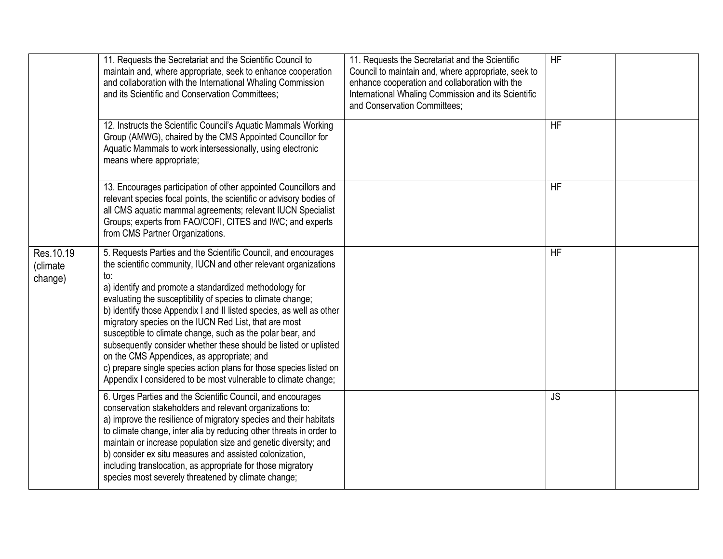|                                   | 11. Requests the Secretariat and the Scientific Council to<br>maintain and, where appropriate, seek to enhance cooperation<br>and collaboration with the International Whaling Commission<br>and its Scientific and Conservation Committees;                                                                                                                                                                                                                                                                                                                                                                                                                                                                               | 11. Requests the Secretariat and the Scientific<br>Council to maintain and, where appropriate, seek to<br>enhance cooperation and collaboration with the<br>International Whaling Commission and its Scientific<br>and Conservation Committees; | HF        |  |
|-----------------------------------|----------------------------------------------------------------------------------------------------------------------------------------------------------------------------------------------------------------------------------------------------------------------------------------------------------------------------------------------------------------------------------------------------------------------------------------------------------------------------------------------------------------------------------------------------------------------------------------------------------------------------------------------------------------------------------------------------------------------------|-------------------------------------------------------------------------------------------------------------------------------------------------------------------------------------------------------------------------------------------------|-----------|--|
|                                   | 12. Instructs the Scientific Council's Aquatic Mammals Working<br>Group (AMWG), chaired by the CMS Appointed Councillor for<br>Aquatic Mammals to work intersessionally, using electronic<br>means where appropriate;                                                                                                                                                                                                                                                                                                                                                                                                                                                                                                      |                                                                                                                                                                                                                                                 | <b>HF</b> |  |
|                                   | 13. Encourages participation of other appointed Councillors and<br>relevant species focal points, the scientific or advisory bodies of<br>all CMS aquatic mammal agreements; relevant IUCN Specialist<br>Groups; experts from FAO/COFI, CITES and IWC; and experts<br>from CMS Partner Organizations.                                                                                                                                                                                                                                                                                                                                                                                                                      |                                                                                                                                                                                                                                                 | <b>HF</b> |  |
| Res. 10.19<br>(climate<br>change) | 5. Requests Parties and the Scientific Council, and encourages<br>the scientific community, IUCN and other relevant organizations<br>to:<br>a) identify and promote a standardized methodology for<br>evaluating the susceptibility of species to climate change;<br>b) identify those Appendix I and II listed species, as well as other<br>migratory species on the IUCN Red List, that are most<br>susceptible to climate change, such as the polar bear, and<br>subsequently consider whether these should be listed or uplisted<br>on the CMS Appendices, as appropriate; and<br>c) prepare single species action plans for those species listed on<br>Appendix I considered to be most vulnerable to climate change; |                                                                                                                                                                                                                                                 | <b>HF</b> |  |
|                                   | 6. Urges Parties and the Scientific Council, and encourages<br>conservation stakeholders and relevant organizations to:<br>a) improve the resilience of migratory species and their habitats<br>to climate change, inter alia by reducing other threats in order to<br>maintain or increase population size and genetic diversity; and<br>b) consider ex situ measures and assisted colonization,<br>including translocation, as appropriate for those migratory<br>species most severely threatened by climate change;                                                                                                                                                                                                    |                                                                                                                                                                                                                                                 | <b>JS</b> |  |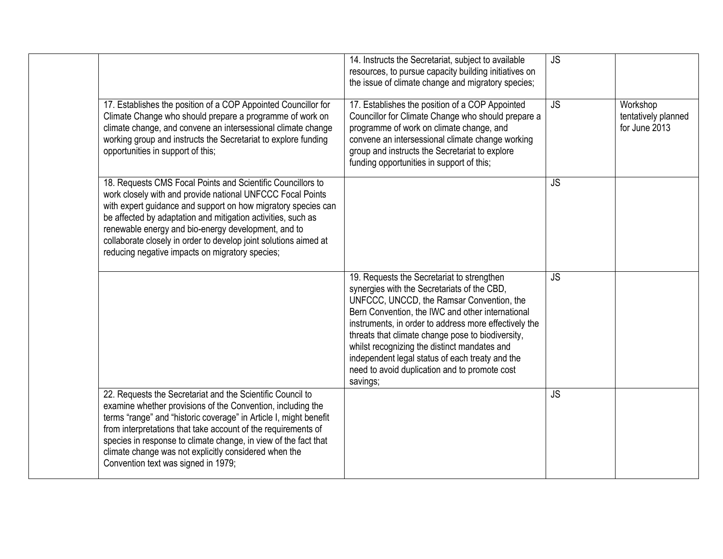|                                                                                                                                                                                                                                                                                                                                                                                                                                          | 14. Instructs the Secretariat, subject to available<br>resources, to pursue capacity building initiatives on<br>the issue of climate change and migratory species;                                                                                                                                                                                                                                                                                                       | <b>JS</b> |                                                  |
|------------------------------------------------------------------------------------------------------------------------------------------------------------------------------------------------------------------------------------------------------------------------------------------------------------------------------------------------------------------------------------------------------------------------------------------|--------------------------------------------------------------------------------------------------------------------------------------------------------------------------------------------------------------------------------------------------------------------------------------------------------------------------------------------------------------------------------------------------------------------------------------------------------------------------|-----------|--------------------------------------------------|
| 17. Establishes the position of a COP Appointed Councillor for<br>Climate Change who should prepare a programme of work on<br>climate change, and convene an intersessional climate change<br>working group and instructs the Secretariat to explore funding<br>opportunities in support of this;                                                                                                                                        | 17. Establishes the position of a COP Appointed<br>Councillor for Climate Change who should prepare a<br>programme of work on climate change, and<br>convene an intersessional climate change working<br>group and instructs the Secretariat to explore<br>funding opportunities in support of this;                                                                                                                                                                     | <b>JS</b> | Workshop<br>tentatively planned<br>for June 2013 |
| 18. Requests CMS Focal Points and Scientific Councillors to<br>work closely with and provide national UNFCCC Focal Points<br>with expert guidance and support on how migratory species can<br>be affected by adaptation and mitigation activities, such as<br>renewable energy and bio-energy development, and to<br>collaborate closely in order to develop joint solutions aimed at<br>reducing negative impacts on migratory species; |                                                                                                                                                                                                                                                                                                                                                                                                                                                                          | <b>JS</b> |                                                  |
|                                                                                                                                                                                                                                                                                                                                                                                                                                          | 19. Requests the Secretariat to strengthen<br>synergies with the Secretariats of the CBD,<br>UNFCCC, UNCCD, the Ramsar Convention, the<br>Bern Convention, the IWC and other international<br>instruments, in order to address more effectively the<br>threats that climate change pose to biodiversity,<br>whilst recognizing the distinct mandates and<br>independent legal status of each treaty and the<br>need to avoid duplication and to promote cost<br>savings; | <b>JS</b> |                                                  |
| 22. Requests the Secretariat and the Scientific Council to<br>examine whether provisions of the Convention, including the<br>terms "range" and "historic coverage" in Article I, might benefit<br>from interpretations that take account of the requirements of<br>species in response to climate change, in view of the fact that<br>climate change was not explicitly considered when the<br>Convention text was signed in 1979;       |                                                                                                                                                                                                                                                                                                                                                                                                                                                                          | <b>JS</b> |                                                  |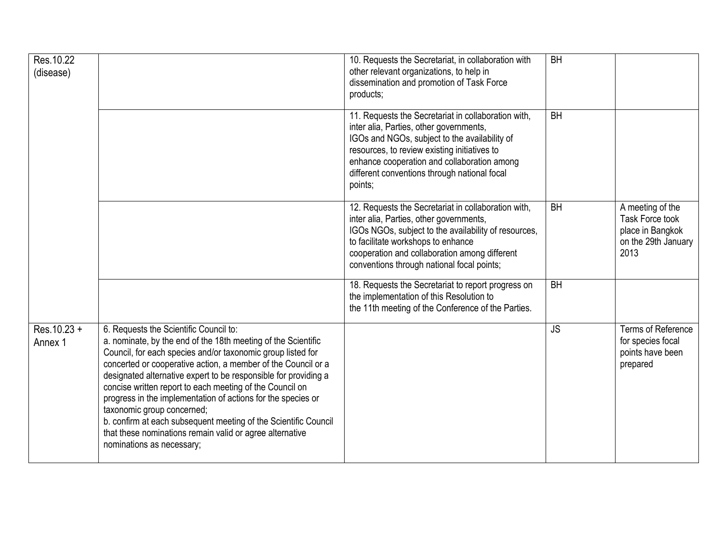| Res. 10.22<br>(disease)  |                                                                                                                                                                                                                                                                                                                                                                                                                                                                                                                                                                                                                                  | 10. Requests the Secretariat, in collaboration with<br>other relevant organizations, to help in<br>dissemination and promotion of Task Force<br>products;                                                                                                                                                 | <b>BH</b> |                                                                                        |
|--------------------------|----------------------------------------------------------------------------------------------------------------------------------------------------------------------------------------------------------------------------------------------------------------------------------------------------------------------------------------------------------------------------------------------------------------------------------------------------------------------------------------------------------------------------------------------------------------------------------------------------------------------------------|-----------------------------------------------------------------------------------------------------------------------------------------------------------------------------------------------------------------------------------------------------------------------------------------------------------|-----------|----------------------------------------------------------------------------------------|
|                          |                                                                                                                                                                                                                                                                                                                                                                                                                                                                                                                                                                                                                                  | 11. Requests the Secretariat in collaboration with,<br>inter alia, Parties, other governments,<br>IGOs and NGOs, subject to the availability of<br>resources, to review existing initiatives to<br>enhance cooperation and collaboration among<br>different conventions through national focal<br>points; | <b>BH</b> |                                                                                        |
|                          |                                                                                                                                                                                                                                                                                                                                                                                                                                                                                                                                                                                                                                  | 12. Requests the Secretariat in collaboration with,<br>inter alia, Parties, other governments,<br>IGOs NGOs, subject to the availability of resources,<br>to facilitate workshops to enhance<br>cooperation and collaboration among different<br>conventions through national focal points;               | <b>BH</b> | A meeting of the<br>Task Force took<br>place in Bangkok<br>on the 29th January<br>2013 |
|                          |                                                                                                                                                                                                                                                                                                                                                                                                                                                                                                                                                                                                                                  | 18. Requests the Secretariat to report progress on<br>the implementation of this Resolution to<br>the 11th meeting of the Conference of the Parties.                                                                                                                                                      | <b>BH</b> |                                                                                        |
| $Res.10.23 +$<br>Annex 1 | 6. Requests the Scientific Council to:<br>a. nominate, by the end of the 18th meeting of the Scientific<br>Council, for each species and/or taxonomic group listed for<br>concerted or cooperative action, a member of the Council or a<br>designated alternative expert to be responsible for providing a<br>concise written report to each meeting of the Council on<br>progress in the implementation of actions for the species or<br>taxonomic group concerned;<br>b. confirm at each subsequent meeting of the Scientific Council<br>that these nominations remain valid or agree alternative<br>nominations as necessary; |                                                                                                                                                                                                                                                                                                           | <b>JS</b> | <b>Terms of Reference</b><br>for species focal<br>points have been<br>prepared         |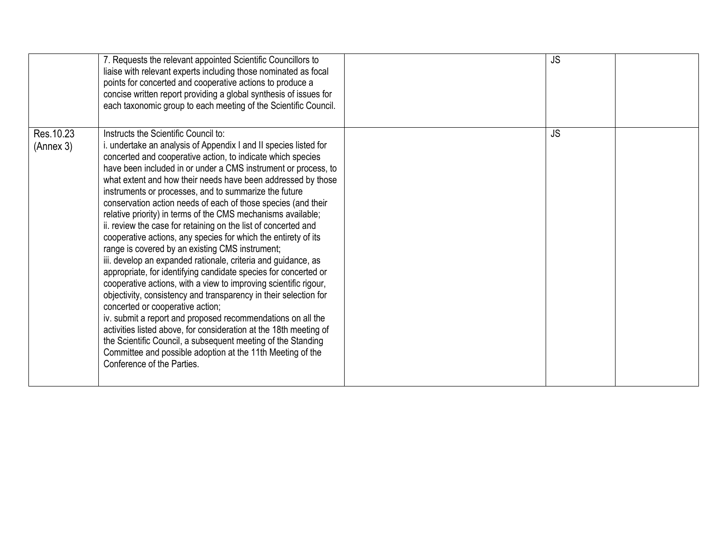|                         | 7. Requests the relevant appointed Scientific Councillors to<br>liaise with relevant experts including those nominated as focal<br>points for concerted and cooperative actions to produce a<br>concise written report providing a global synthesis of issues for<br>each taxonomic group to each meeting of the Scientific Council.                                                                                                                                                                                                                                                                                                                                                                                                                                                                                                                                                                                                                                                                                                                                                                                                                                                                                                                                                                       | <b>JS</b> |  |
|-------------------------|------------------------------------------------------------------------------------------------------------------------------------------------------------------------------------------------------------------------------------------------------------------------------------------------------------------------------------------------------------------------------------------------------------------------------------------------------------------------------------------------------------------------------------------------------------------------------------------------------------------------------------------------------------------------------------------------------------------------------------------------------------------------------------------------------------------------------------------------------------------------------------------------------------------------------------------------------------------------------------------------------------------------------------------------------------------------------------------------------------------------------------------------------------------------------------------------------------------------------------------------------------------------------------------------------------|-----------|--|
| Res. 10.23<br>(Annex 3) | Instructs the Scientific Council to:<br>i. undertake an analysis of Appendix I and II species listed for<br>concerted and cooperative action, to indicate which species<br>have been included in or under a CMS instrument or process, to<br>what extent and how their needs have been addressed by those<br>instruments or processes, and to summarize the future<br>conservation action needs of each of those species (and their<br>relative priority) in terms of the CMS mechanisms available;<br>ii. review the case for retaining on the list of concerted and<br>cooperative actions, any species for which the entirety of its<br>range is covered by an existing CMS instrument;<br>iii. develop an expanded rationale, criteria and guidance, as<br>appropriate, for identifying candidate species for concerted or<br>cooperative actions, with a view to improving scientific rigour,<br>objectivity, consistency and transparency in their selection for<br>concerted or cooperative action;<br>iv. submit a report and proposed recommendations on all the<br>activities listed above, for consideration at the 18th meeting of<br>the Scientific Council, a subsequent meeting of the Standing<br>Committee and possible adoption at the 11th Meeting of the<br>Conference of the Parties. | <b>JS</b> |  |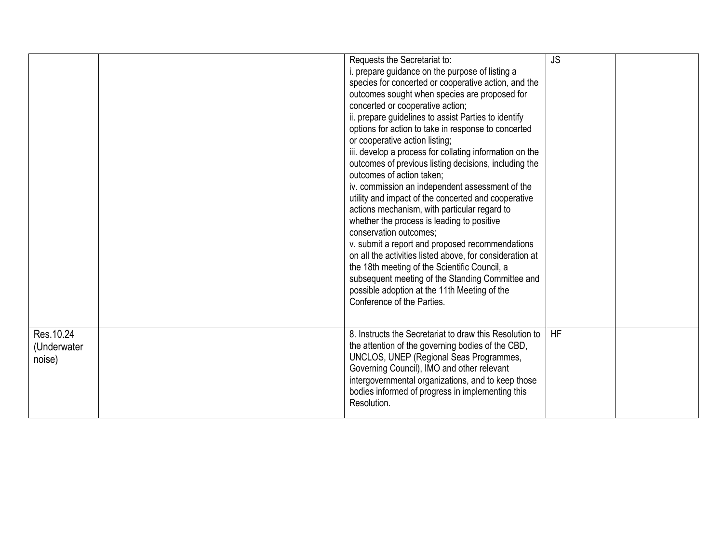|                                     | Requests the Secretariat to:<br>i. prepare guidance on the purpose of listing a<br>species for concerted or cooperative action, and the<br>outcomes sought when species are proposed for<br>concerted or cooperative action;<br>ii. prepare guidelines to assist Parties to identify<br>options for action to take in response to concerted<br>or cooperative action listing;<br>iii. develop a process for collating information on the<br>outcomes of previous listing decisions, including the<br>outcomes of action taken;<br>iv. commission an independent assessment of the<br>utility and impact of the concerted and cooperative<br>actions mechanism, with particular regard to<br>whether the process is leading to positive<br>conservation outcomes;<br>v. submit a report and proposed recommendations<br>on all the activities listed above, for consideration at<br>the 18th meeting of the Scientific Council, a<br>subsequent meeting of the Standing Committee and<br>possible adoption at the 11th Meeting of the<br>Conference of the Parties. | <b>JS</b> |  |
|-------------------------------------|--------------------------------------------------------------------------------------------------------------------------------------------------------------------------------------------------------------------------------------------------------------------------------------------------------------------------------------------------------------------------------------------------------------------------------------------------------------------------------------------------------------------------------------------------------------------------------------------------------------------------------------------------------------------------------------------------------------------------------------------------------------------------------------------------------------------------------------------------------------------------------------------------------------------------------------------------------------------------------------------------------------------------------------------------------------------|-----------|--|
| Res. 10.24<br>(Underwater<br>noise) | 8. Instructs the Secretariat to draw this Resolution to<br>the attention of the governing bodies of the CBD,<br>UNCLOS, UNEP (Regional Seas Programmes,<br>Governing Council), IMO and other relevant<br>intergovernmental organizations, and to keep those<br>bodies informed of progress in implementing this<br>Resolution.                                                                                                                                                                                                                                                                                                                                                                                                                                                                                                                                                                                                                                                                                                                                     | <b>HF</b> |  |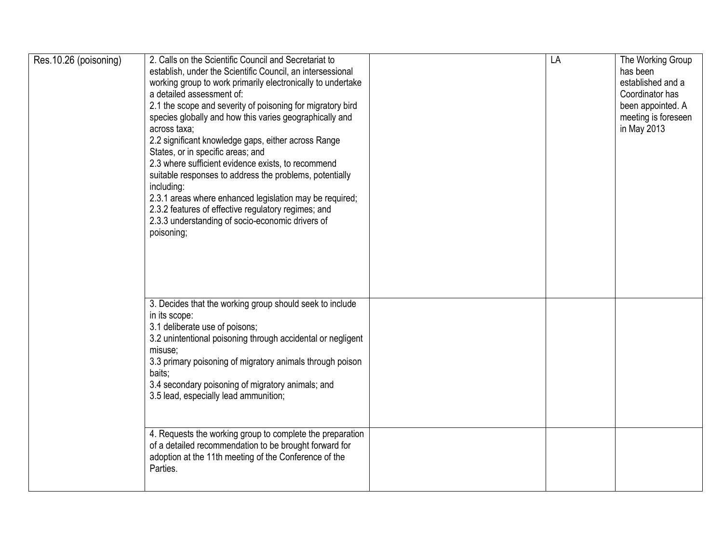| Res.10.26 (poisoning) | 2. Calls on the Scientific Council and Secretariat to<br>establish, under the Scientific Council, an intersessional<br>working group to work primarily electronically to undertake<br>a detailed assessment of:<br>2.1 the scope and severity of poisoning for migratory bird<br>species globally and how this varies geographically and<br>across taxa;<br>2.2 significant knowledge gaps, either across Range<br>States, or in specific areas; and<br>2.3 where sufficient evidence exists, to recommend<br>suitable responses to address the problems, potentially<br>including:<br>2.3.1 areas where enhanced legislation may be required;<br>2.3.2 features of effective regulatory regimes; and<br>2.3.3 understanding of socio-economic drivers of<br>poisoning; | LA | The Working Group<br>has been<br>established and a<br>Coordinator has<br>been appointed. A<br>meeting is foreseen<br>in May 2013 |
|-----------------------|-------------------------------------------------------------------------------------------------------------------------------------------------------------------------------------------------------------------------------------------------------------------------------------------------------------------------------------------------------------------------------------------------------------------------------------------------------------------------------------------------------------------------------------------------------------------------------------------------------------------------------------------------------------------------------------------------------------------------------------------------------------------------|----|----------------------------------------------------------------------------------------------------------------------------------|
|                       | 3. Decides that the working group should seek to include<br>in its scope:<br>3.1 deliberate use of poisons;<br>3.2 unintentional poisoning through accidental or negligent<br>misuse;<br>3.3 primary poisoning of migratory animals through poison<br>baits;<br>3.4 secondary poisoning of migratory animals; and<br>3.5 lead, especially lead ammunition;                                                                                                                                                                                                                                                                                                                                                                                                              |    |                                                                                                                                  |
|                       | 4. Requests the working group to complete the preparation<br>of a detailed recommendation to be brought forward for<br>adoption at the 11th meeting of the Conference of the<br>Parties.                                                                                                                                                                                                                                                                                                                                                                                                                                                                                                                                                                                |    |                                                                                                                                  |